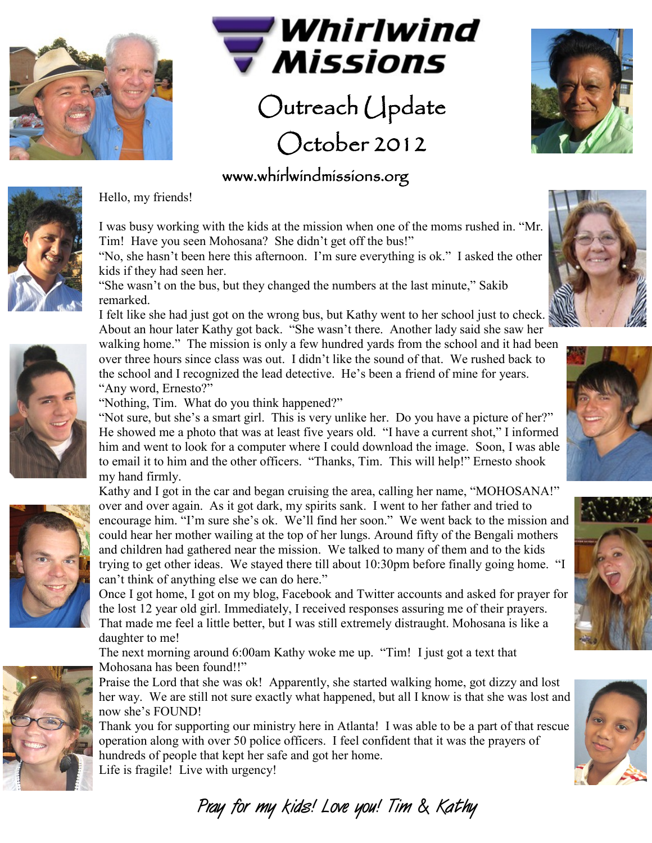



## Outreach Update October 2012

## www.whirlwindmissions.org



Hello, my friends!

I was busy working with the kids at the mission when one of the moms rushed in. "Mr. Tim! Have you seen Mohosana? She didn't get off the bus!"

"No, she hasn't been here this afternoon. I'm sure everything is ok." I asked the other kids if they had seen her.

"She wasn't on the bus, but they changed the numbers at the last minute," Sakib remarked.

I felt like she had just got on the wrong bus, but Kathy went to her school just to check. About an hour later Kathy got back. "She wasn't there. Another lady said she saw her walking home." The mission is only a few hundred yards from the school and it had been

over three hours since class was out. I didn't like the sound of that. We rushed back to the school and I recognized the lead detective. He's been a friend of mine for years. "Any word, Ernesto?"

"Nothing, Tim. What do you think happened?"

"Not sure, but she's a smart girl. This is very unlike her. Do you have a picture of her?" He showed me a photo that was at least five years old. "I have a current shot," I informed him and went to look for a computer where I could download the image. Soon, I was able to email it to him and the other officers. "Thanks, Tim. This will help!" Ernesto shook my hand firmly.

Kathy and I got in the car and began cruising the area, calling her name, "MOHOSANA!" over and over again. As it got dark, my spirits sank. I went to her father and tried to encourage him. "I'm sure she's ok. We'll find her soon." We went back to the mission and could hear her mother wailing at the top of her lungs. Around fifty of the Bengali mothers and children had gathered near the mission. We talked to many of them and to the kids trying to get other ideas. We stayed there till about 10:30pm before finally going home. "I can't think of anything else we can do here."

Once I got home, I got on my blog, Facebook and Twitter accounts and asked for prayer for the lost 12 year old girl. Immediately, I received responses assuring me of their prayers. That made me feel a little better, but I was still extremely distraught. Mohosana is like a daughter to me!

The next morning around 6:00am Kathy woke me up. "Tim! I just got a text that Mohosana has been found!!"

Praise the Lord that she was ok! Apparently, she started walking home, got dizzy and lost her way. We are still not sure exactly what happened, but all I know is that she was lost and now she's FOUND!

Thank you for supporting our ministry here in Atlanta! I was able to be a part of that rescue operation along with over 50 police officers. I feel confident that it was the prayers of hundreds of people that kept her safe and got her home. Life is fragile! Live with urgency!









**Pray for my kids! Love you! Tim & Kathy**